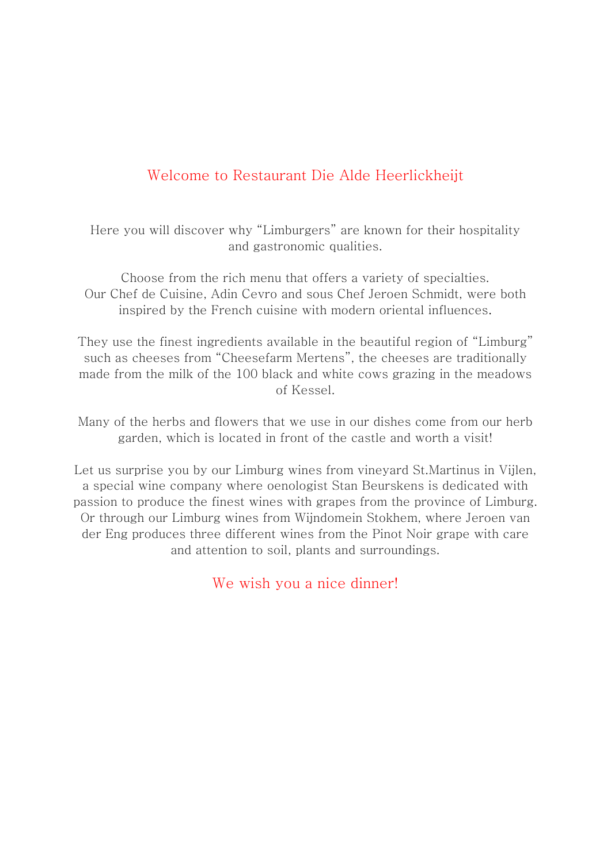# Welcome to Restaurant Die Alde Heerlickheijt

Here you will discover why "Limburgers" are known for their hospitality and gastronomic qualities.

Choose from the rich menu that offers a variety of specialties. Our Chef de Cuisine, Adin Cevro and sous Chef Jeroen Schmidt, were both inspired by the French cuisine with modern oriental influences.

They use the finest ingredients available in the beautiful region of "Limburg" such as cheeses from "Cheesefarm Mertens", the cheeses are traditionally made from the milk of the 100 black and white cows grazing in the meadows of Kessel.

Many of the herbs and flowers that we use in our dishes come from our herb garden, which is located in front of the castle and worth a visit!

Let us surprise you by our Limburg wines from vineyard St.Martinus in Vijlen, a special wine company where oenologist Stan Beurskens is dedicated with passion to produce the finest wines with grapes from the province of Limburg. Or through our Limburg wines from Wijndomein Stokhem, where Jeroen van der Eng produces three different wines from the Pinot Noir grape with care and attention to soil, plants and surroundings.

We wish you a nice dinner!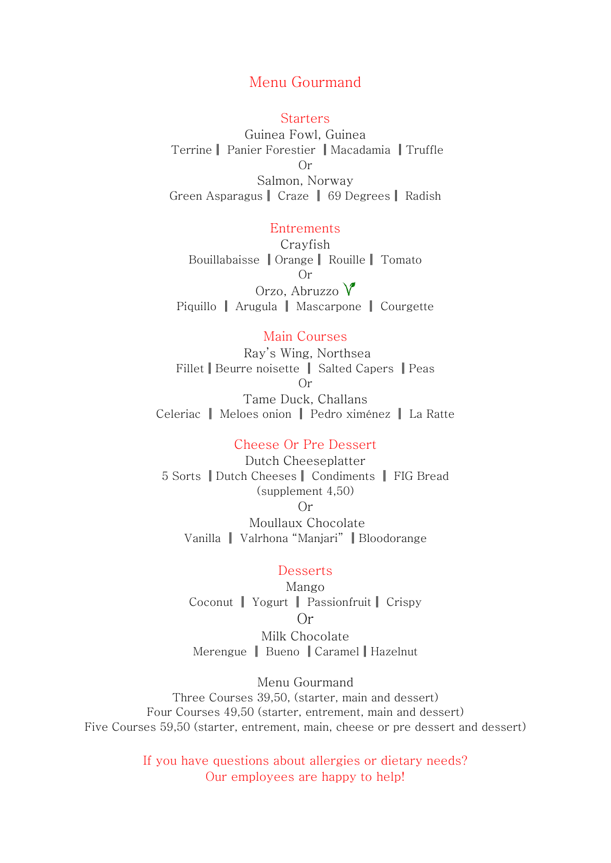# Menu Gourmand

#### **Starters**

Guinea Fowl, Guinea Terrine | Panier Forestier | Macadamia | Truffle  $Or$ Salmon, Norway Green Asparagus | Craze | 69 Degrees | Radish

#### Entrements

Cravfish Bouillabaisse || Orange || Rouille || Tomato  $Or$ Orzo, Abruzzo  $\sqrt{\ }$ Piquillo | Arugula | Mascarpone | Courgette

#### Main Courses

Ray's Wing, Northsea Fillet | Beurre noisette | Salted Capers | Peas  $Or$ Tame Duck, Challans Celeriac | Meloes onion | Pedro ximénez | La Ratte

#### Cheese Or Pre Dessert

Dutch Cheeseplatter 5 Sorts || Dutch Cheeses || Condiments || FIG Bread  $(supplement 4,50)$  $Or$ Moullaux Chocolate Vanilla | Valrhona "Maniari" | Bloodorange

### Desserts

Mango Coconut | Yogurt | Passionfruit | Crispy  $Or$ Milk Chocolate

Merengue | Bueno | Caramel | Hazelnut

Menu Gourmand Three Courses 39,50, (starter, main and dessert) Four Courses 49,50 (starter, entrement, main and dessert) Five Courses 59,50 (starter, entrement, main, cheese or pre dessert and dessert)

> If you have questions about allergies or dietary needs? Our employees are happy to help!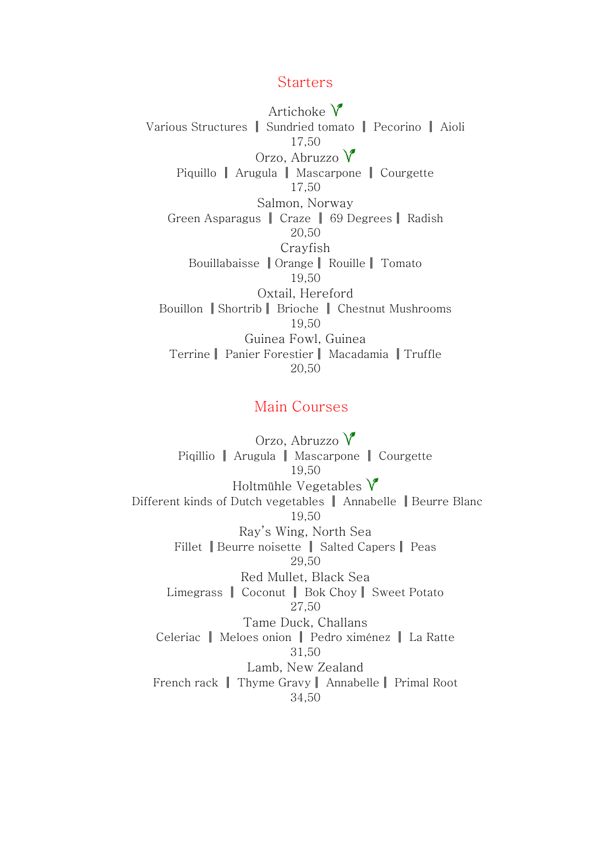## **Starters**

Artichoke  $V$ Various Structures | Sundried tomato | Pecorino | Aioli 17.50 Orzo, Abruzzo  $\sqrt{\ }$ Piquillo || Arugula || Mascarpone || Courgette 17,50 Salmon, Norway Green Asparagus | Craze | 69 Degrees | Radish 20.50 Crayfish Bouillabaisse || Orange || Rouille || Tomato 19.50 Oxtail, Hereford Bouillon | Shortrib | Brioche | Chestnut Mushrooms 19.50 Guinea Fowl, Guinea Terrine | Panier Forestier | Macadamia | Truffle 20.50

# Main Courses

Orzo, Abruzzo V Pigillio || Arugula || Mascarpone || Courgette 19,50 Holtmühle Vegetables  $\sqrt{\ }$ Different kinds of Dutch vegetables | Annabelle | Beurre Blanc 19,50 Ray's Wing, North Sea Fillet || Beurre noisette || Salted Capers || Peas 29.50 Red Mullet, Black Sea Limegrass | Coconut | Bok Choy | Sweet Potato 27.50 Tame Duck, Challans Celeriac | Meloes onion | Pedro ximénez | La Ratte 31.50 Lamb. New Zealand French rack | Thyme Gravy | Annabelle | Primal Root 34,50